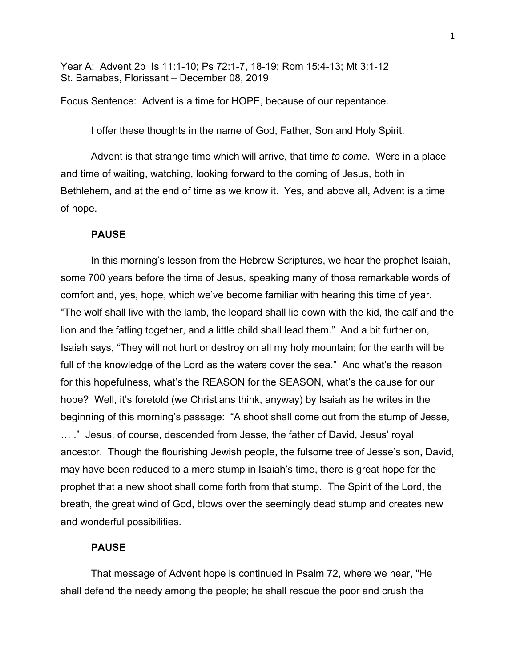Year A: Advent 2b Is 11:1-10; Ps 72:1-7, 18-19; Rom 15:4-13; Mt 3:1-12 St. Barnabas, Florissant – December 08, 2019

Focus Sentence: Advent is a time for HOPE, because of our repentance.

I offer these thoughts in the name of God, Father, Son and Holy Spirit.

Advent is that strange time which will arrive, that time *to come*. Were in a place and time of waiting, watching, looking forward to the coming of Jesus, both in Bethlehem, and at the end of time as we know it. Yes, and above all, Advent is a time of hope.

## **PAUSE**

In this morning's lesson from the Hebrew Scriptures, we hear the prophet Isaiah, some 700 years before the time of Jesus, speaking many of those remarkable words of comfort and, yes, hope, which we've become familiar with hearing this time of year. "The wolf shall live with the lamb, the leopard shall lie down with the kid, the calf and the lion and the fatling together, and a little child shall lead them." And a bit further on, Isaiah says, "They will not hurt or destroy on all my holy mountain; for the earth will be full of the knowledge of the Lord as the waters cover the sea." And what's the reason for this hopefulness, what's the REASON for the SEASON, what's the cause for our hope? Well, it's foretold (we Christians think, anyway) by Isaiah as he writes in the beginning of this morning's passage: "A shoot shall come out from the stump of Jesse, … ." Jesus, of course, descended from Jesse, the father of David, Jesus' royal ancestor. Though the flourishing Jewish people, the fulsome tree of Jesse's son, David, may have been reduced to a mere stump in Isaiah's time, there is great hope for the prophet that a new shoot shall come forth from that stump. The Spirit of the Lord, the breath, the great wind of God, blows over the seemingly dead stump and creates new and wonderful possibilities.

# **PAUSE**

That message of Advent hope is continued in Psalm 72, where we hear, "He shall defend the needy among the people; he shall rescue the poor and crush the

1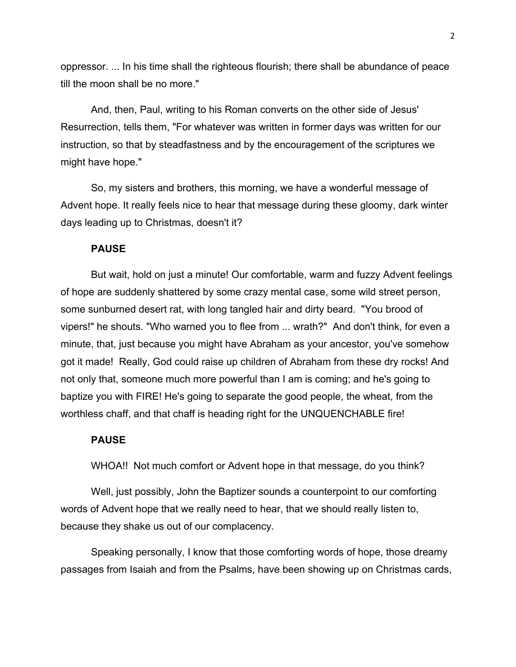oppressor. ... In his time shall the righteous flourish; there shall be abundance of peace till the moon shall be no more."

And, then, Paul, writing to his Roman converts on the other side of Jesus' Resurrection, tells them, "For whatever was written in former days was written for our instruction, so that by steadfastness and by the encouragement of the scriptures we might have hope."

So, my sisters and brothers, this morning, we have a wonderful message of Advent hope. It really feels nice to hear that message during these gloomy, dark winter days leading up to Christmas, doesn't it?

### **PAUSE**

But wait, hold on just a minute! Our comfortable, warm and fuzzy Advent feelings of hope are suddenly shattered by some crazy mental case, some wild street person, some sunburned desert rat, with long tangled hair and dirty beard. "You brood of vipers!" he shouts. "Who warned you to flee from ... wrath?" And don't think, for even a minute, that, just because you might have Abraham as your ancestor, you've somehow got it made! Really, God could raise up children of Abraham from these dry rocks! And not only that, someone much more powerful than I am is coming; and he's going to baptize you with FIRE! He's going to separate the good people, the wheat, from the worthless chaff, and that chaff is heading right for the UNQUENCHABLE fire!

## **PAUSE**

WHOA!! Not much comfort or Advent hope in that message, do you think?

Well, just possibly, John the Baptizer sounds a counterpoint to our comforting words of Advent hope that we really need to hear, that we should really listen to, because they shake us out of our complacency.

Speaking personally, I know that those comforting words of hope, those dreamy passages from Isaiah and from the Psalms, have been showing up on Christmas cards,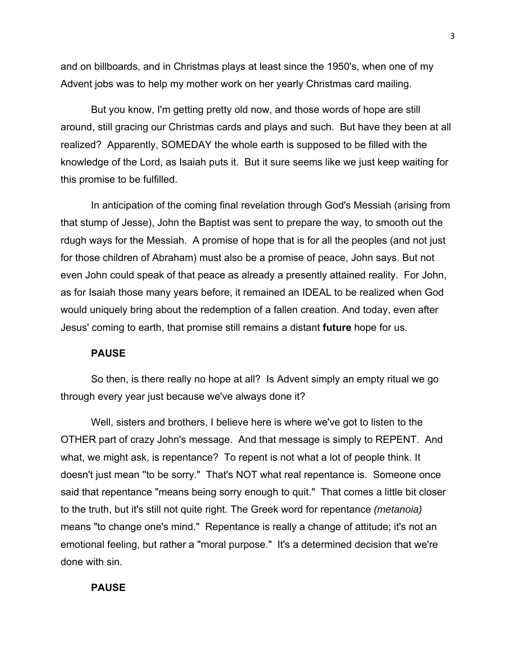and on billboards, and in Christmas plays at least since the 1950's, when one of my Advent jobs was to help my mother work on her yearly Christmas card mailing.

But you know, I'm getting pretty old now, and those words of hope are still around, still gracing our Christmas cards and plays and such. But have they been at all realized? Apparently, SOMEDAY the whole earth is supposed to be filled with the knowledge of the Lord, as Isaiah puts it. But it sure seems like we just keep waiting for this promise to be fulfilled.

In anticipation of the coming final revelation through God's Messiah (arising from that stump of Jesse), John the Baptist was sent to prepare the way, to smooth out the rdugh ways for the Messiah. A promise of hope that is for all the peoples (and not just for those children of Abraham) must also be a promise of peace, John says. But not even John could speak of that peace as already a presently attained reality. For John, as for Isaiah those many years before, it remained an IDEAL to be realized when God would uniquely bring about the redemption of a fallen creation. And today, even after Jesus' coming to earth, that promise still remains a distant **future** hope for us.

## **PAUSE**

So then, is there really no hope at all? Is Advent simply an empty ritual we go through every year just because we've always done it?

Well, sisters and brothers, I believe here is where we've got to listen to the OTHER part of crazy John's message. And that message is simply to REPENT. And what, we might ask, is repentance? To repent is not what a lot of people think. It doesn't just mean ''to be sorry." That's NOT what real repentance is. Someone once said that repentance "means being sorry enough to quit." That comes a little bit closer to the truth, but it's still not quite right. The Greek word for repentance *(metanoia)* means "to change one's mind." Repentance is really a change of attitude; it's not an emotional feeling, but rather a "moral purpose." It's a determined decision that we're done with sin.

### **PAUSE**